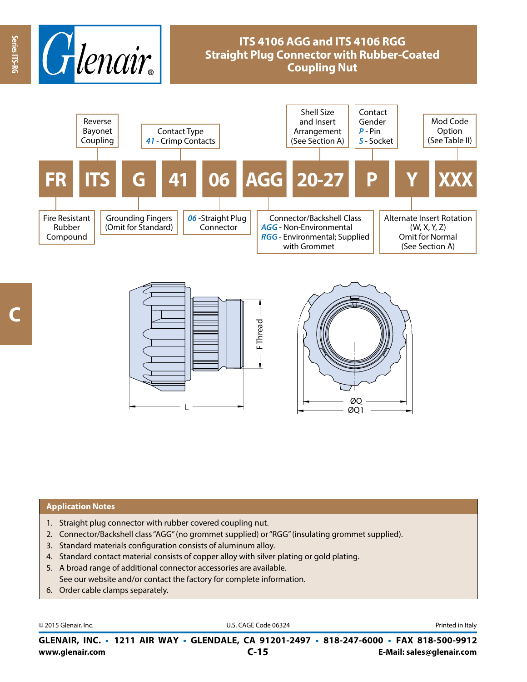

# **ITS 4106 AGG and ITS 4106 RGG Straight Plug Connector with Rubber-Coated Coupling Nut**





### **Application Notes**

- 1. Straight plug connector with rubber covered coupling nut.
- 2. Connector/Backshell class "AGG" (no grommet supplied) or "RGG" (insulating grommet supplied).
- 3. Standard materials configuration consists of aluminum alloy.
- 4. Standard contact material consists of copper alloy with silver plating or gold plating.
- 5. A broad range of additional connector accessories are available. See our website and/or contact the factory for complete information.
- 6. Order cable clamps separately.

© 2015 Glenair, Inc. **Discription Construction Construction Construction Construction Construction Construction Construction Construction Construction Construction Construction Construction Construction Construction Constr** 

**www.glenair.com E-Mail: sales@glenair.com GLENAIR, INC. • 1211 AIR WAY • GLENDALE, CA 91201-2497 • 818-247-6000 • FAX 818-500-9912 C-15**